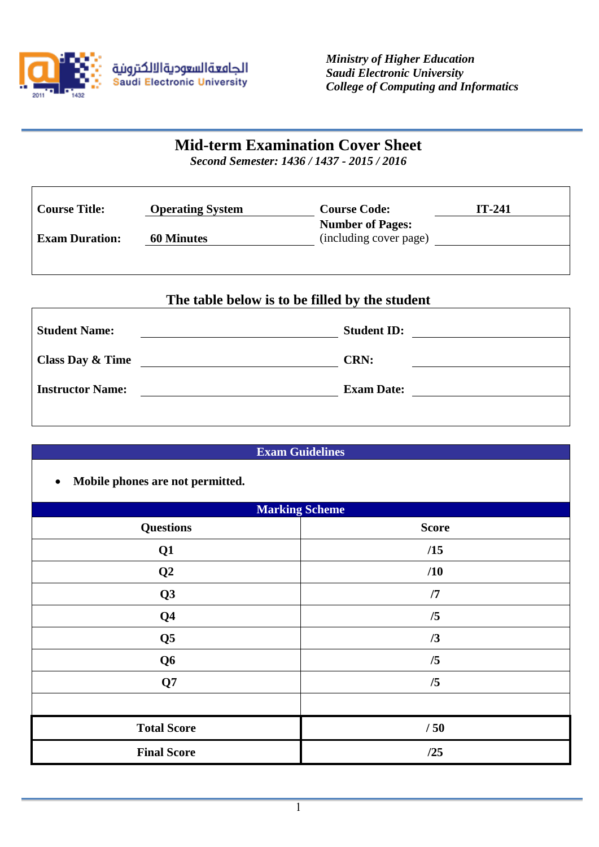

 $\mathsf{r}$ 

 $\overline{1}$ 

*Ministry of Higher Education Saudi Electronic University College of Computing and Informatics*

# **Mid-term Examination Cover Sheet**

*Second Semester: 1436 / 1437 - 2015 / 2016*

| Course Title:         | <b>Operating System</b> | <b>Course Code:</b>                               | $IT-241$ |
|-----------------------|-------------------------|---------------------------------------------------|----------|
| <b>Exam Duration:</b> | <b>60 Minutes</b>       | <b>Number of Pages:</b><br>(including cover page) |          |
|                       |                         |                                                   |          |

# **The table below is to be filled by the student**

| <b>Student Name:</b>        | <b>Student ID:</b> |
|-----------------------------|--------------------|
| <b>Class Day &amp; Time</b> | <b>CRN:</b>        |
| <b>Instructor Name:</b>     | <b>Exam Date:</b>  |
|                             |                    |

| <b>Exam Guidelines</b>                        |                       |  |
|-----------------------------------------------|-----------------------|--|
| Mobile phones are not permitted.<br>$\bullet$ |                       |  |
|                                               | <b>Marking Scheme</b> |  |
| <b>Questions</b>                              | <b>Score</b>          |  |
| Q1                                            | /15                   |  |
| Q <sub>2</sub>                                | /10                   |  |
| Q3                                            | /7                    |  |
| Q <sub>4</sub>                                | /5                    |  |
| Q <sub>5</sub>                                | /3                    |  |
| Q <sub>6</sub>                                | /5                    |  |
| Q7                                            | /5                    |  |
|                                               |                       |  |
| <b>Total Score</b>                            | /50                   |  |
| <b>Final Score</b>                            | /25                   |  |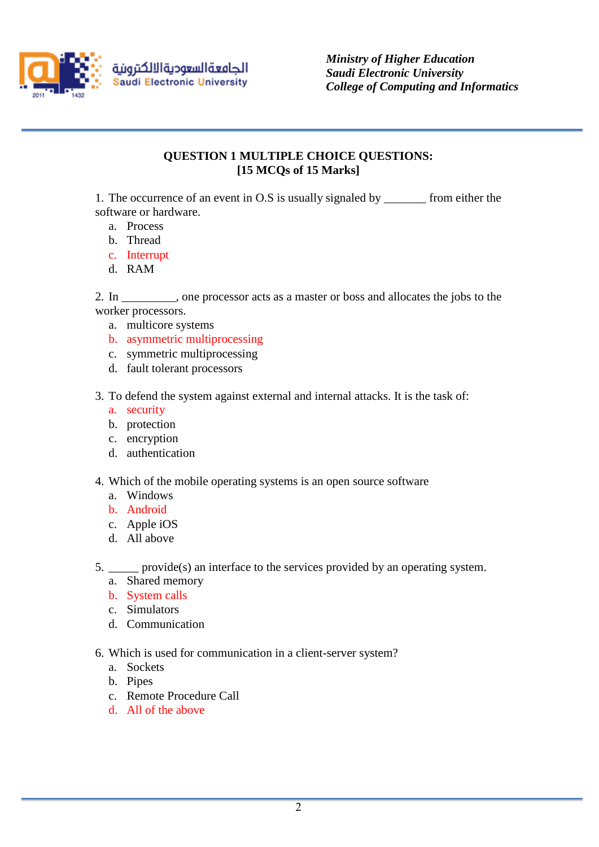

*Ministry of Higher Education Saudi Electronic University College of Computing and Informatics*

# **QUESTION 1 MULTIPLE CHOICE QUESTIONS: [15 MCQs of 15 Marks]**

1. The occurrence of an event in O.S is usually signaled by \_\_\_\_\_\_\_ from either the software or hardware.

- a. Process
- b. Thread
- c. Interrupt
- d. RAM

2. In \_\_\_\_\_\_\_\_\_, one processor acts as a master or boss and allocates the jobs to the worker processors.

- a. multicore systems
- b. asymmetric multiprocessing
- c. symmetric multiprocessing
- d. fault tolerant processors
- 3. To defend the system against external and internal attacks. It is the task of:
	- a. security
	- b. protection
	- c. encryption
	- d. authentication
- 4. Which of the mobile operating systems is an open source software
	- a. Windows
	- b. Android
	- c. Apple iOS
	- d. All above
- 5. \_\_\_\_\_ provide(s) an interface to the services provided by an operating system.
	- a. Shared memory
	- b. System calls
	- c. Simulators
	- d. Communication
- 6. Which is used for communication in a client-server system?
	- a. Sockets
	- b. Pipes
	- c. Remote Procedure Call
	- d. All of the above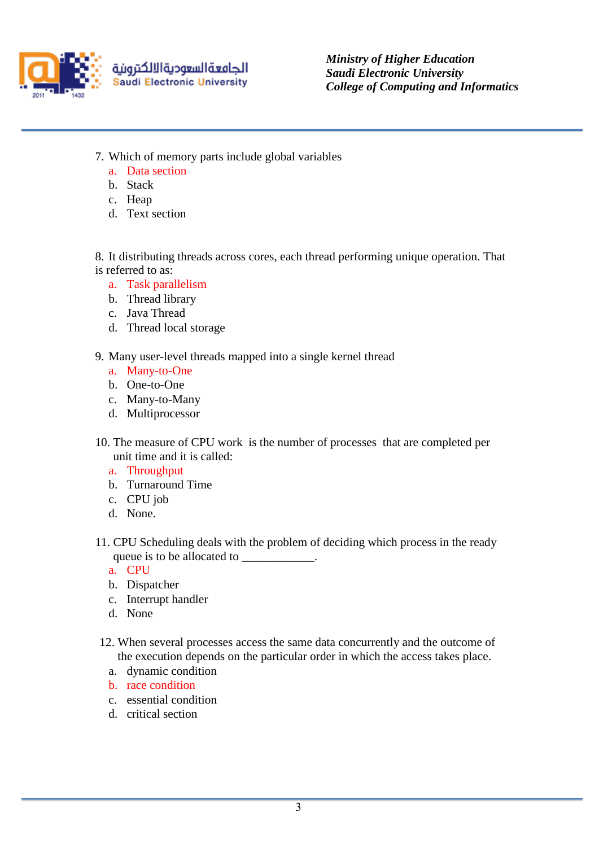

*Ministry of Higher Education Saudi Electronic University College of Computing and Informatics*

- 7. Which of memory parts include global variables
	- a. Data section
	- b. Stack
	- c. Heap
	- d. Text section

8. It distributing threads across cores, each thread performing unique operation. That is referred to as:

- a. Task parallelism
- b. Thread library
- c. Java Thread
- d. Thread local storage
- 9. Many user-level threads mapped into a single kernel thread
	- a. Many-to-One
	- b. One-to-One
	- c. Many-to-Many
	- d. Multiprocessor
- 10. The measure of CPU work is the number of processes that are completed per unit time and it is called:
	- a. Throughput
	- b. Turnaround Time
	- c. CPU job
	- d. None.
- 11. CPU Scheduling deals with the problem of deciding which process in the ready queue is to be allocated to \_\_\_\_\_\_\_\_\_\_\_.
	- a. CPU
	- b. Dispatcher
	- c. Interrupt handler
	- d. None
- 12. When several processes access the same data concurrently and the outcome of the execution depends on the particular order in which the access takes place.
	- a. dynamic condition
	- b. race condition
	- c. essential condition
	- d. critical section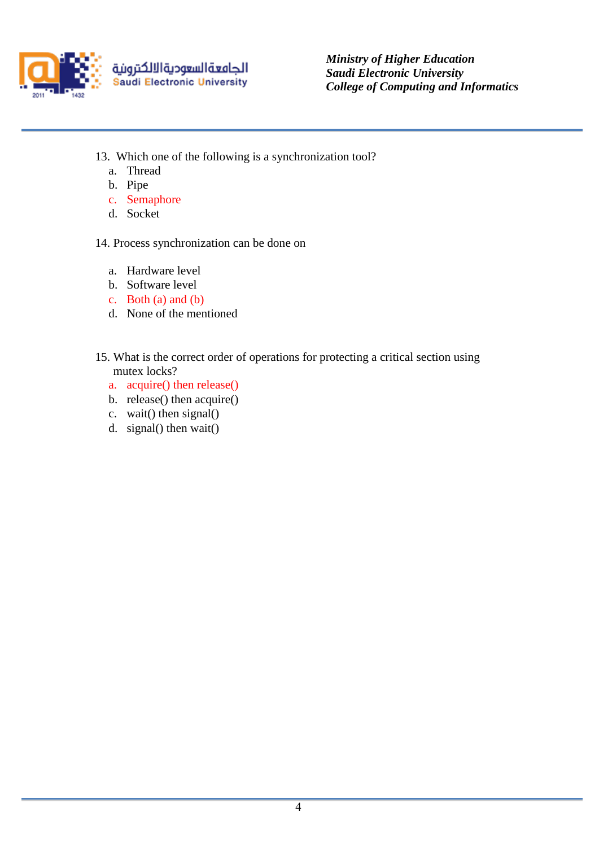

*Ministry of Higher Education Saudi Electronic University College of Computing and Informatics*

- 13. Which one of the following is a synchronization tool?
	- a. Thread
	- b. Pipe
	- c. Semaphore
	- d. Socket

14. Process synchronization can be done on

- a. Hardware level
- b. Software level
- c. Both (a) and (b)
- d. None of the mentioned
- 15. What is the correct order of operations for protecting a critical section using mutex locks?
	- a. acquire() then release()
	- b. release() then acquire()
	- c. wait() then signal()
	- d. signal() then wait()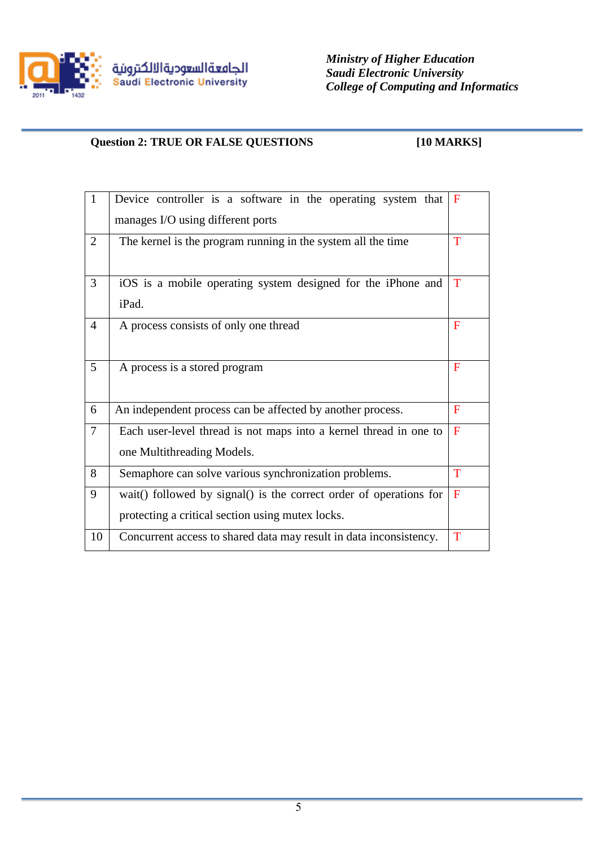

*Ministry of Higher Education Saudi Electronic University College of Computing and Informatics*

# **Question 2: TRUE OR FALSE QUESTIONS [10 MARKS]**

| $\mathbf{1}$    | Device controller is a software in the operating system that       | F            |  |
|-----------------|--------------------------------------------------------------------|--------------|--|
|                 | manages I/O using different ports                                  |              |  |
| $\overline{2}$  | The kernel is the program running in the system all the time       | T            |  |
| 3               | iOS is a mobile operating system designed for the iPhone and       | T            |  |
|                 | iPad.                                                              |              |  |
| $\overline{4}$  | A process consists of only one thread                              | F            |  |
|                 |                                                                    |              |  |
| $5\overline{)}$ | A process is a stored program                                      | F            |  |
|                 |                                                                    |              |  |
| 6               | An independent process can be affected by another process.         | $\mathbf{F}$ |  |
| $\overline{7}$  | Each user-level thread is not maps into a kernel thread in one to  | F            |  |
|                 | one Multithreading Models.                                         |              |  |
| 8               | Semaphore can solve various synchronization problems.              | T            |  |
| 9               | wait() followed by signal() is the correct order of operations for | F            |  |
|                 | protecting a critical section using mutex locks.                   |              |  |
| 10              | Concurrent access to shared data may result in data inconsistency. | $\mathbf T$  |  |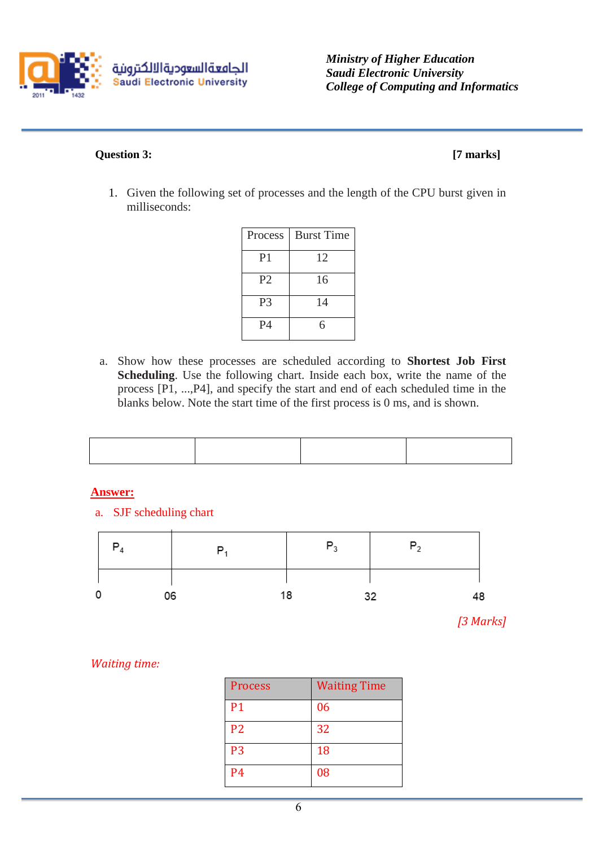

*Ministry of Higher Education Saudi Electronic University College of Computing and Informatics*

## **Question 3: [7 marks]**

1. Given the following set of processes and the length of the CPU burst given in milliseconds:

| Process        | <b>Burst Time</b> |
|----------------|-------------------|
| P <sub>1</sub> | 12                |
| P <sub>2</sub> | 16                |
| P <sub>3</sub> | 14                |
| <b>P4</b>      | 6                 |

a. Show how these processes are scheduled according to **Shortest Job First Scheduling**. Use the following chart. Inside each box, write the name of the process [P1, ...,P4], and specify the start and end of each scheduled time in the blanks below. Note the start time of the first process is 0 ms, and is shown.

# **Answer:**

a. SJF scheduling chart  $P_3$  $P<sub>2</sub>$  $P_4$  $P_1$ 0 18 06 32

*[3 Marks]*

48

# *Waiting time:*

| <b>Process</b> | <b>Waiting Time</b> |
|----------------|---------------------|
| <b>P1</b>      | 06                  |
| P <sub>2</sub> | 32                  |
| P <sub>3</sub> | 18                  |
| <b>P4</b>      | 08                  |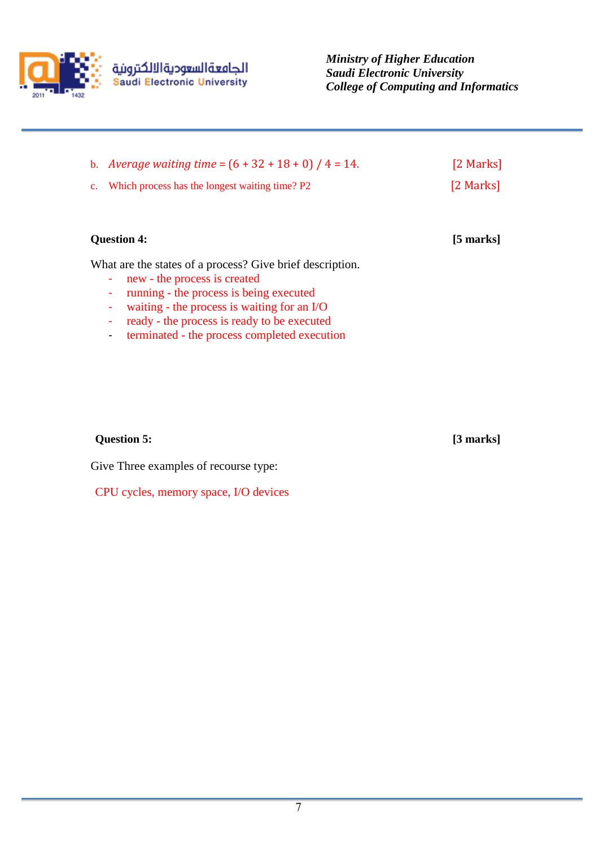

*Ministry of Higher Education Saudi Electronic University College of Computing and Informatics*

| b. <i>Average waiting time</i> = $(6 + 32 + 18 + 0) / 4 = 14$ . | [2 Marks] |
|-----------------------------------------------------------------|-----------|
| c. Which process has the longest waiting time? P2               | [2 Marks] |

#### **Question 4: [5 marks]**

What are the states of a process? Give brief description.

- new the process is created
- running the process is being executed
- waiting the process is waiting for an I/O
- ready the process is ready to be executed
- terminated the process completed execution

## **Question 5: [3 marks]**

Give Three examples of recourse type:

CPU cycles, memory space, I/O devices